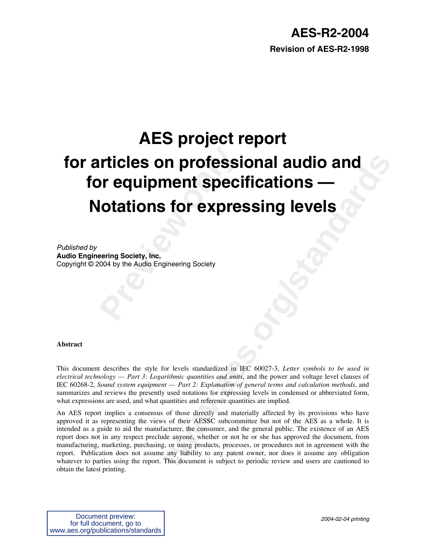### **AES-R2-2004**

**Revision of AES-R2-1998**

# **Preview Source Set of Professi**<br> **Prequipment specify**<br> **Preving Society, Inc.**<br> **Preving Society, Inc.**<br> **Propries Audio Engineering Society**<br> **Propries Audio Engineering Society n professional audio and<br>
for expressing levels**<br> **to for expressing levels**<br> **to formulate the symbols of the standardized in IEC 60027-3, Letter symbols to be used in<br>
used to be used in the standardized in IEC 60027-3, AES project report for articles on professional audio and for equipment specifications — Notations for expressing levels**

*Published by*

**Audio Engineering Society, Inc.** Copyright © 2004 by the Audio Engineering Society

#### **Abstract**

This document describes the style for levels standardized in IEC 60027-3, *Letter symbols to be used in electrical technology — Part 3: Logarithmic quantities and units*, and the power and voltage level clauses of IEC 60268-2, *Sound system equipment — Part 2: Explanation of general terms and calculation methods*, and summarizes and reviews the presently used notations for expressing levels in condensed or abbreviated form, what expressions are used, and what quantities and reference quantities are implied.

An AES report implies a consensus of those directly and materially affected by its provisions who have approved it as representing the views of their AESSC subcommittee but not of the AES as a whole. It is intended as a guide to aid the manufacturer, the consumer, and the general public. The existence of an AES report does not in any respect preclude anyone, whether or not he or she has approved the document, from manufacturing, marketing, purchasing, or using products, processes, or procedures not in agreement with the report. Publication does not assume any liability to any patent owner, nor does it assume any obligation whatever to parties using the report. This document is subject to periodic review and users are cautioned to obtain the latest printing.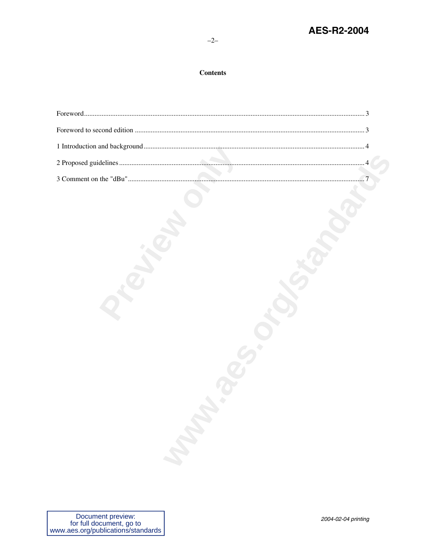#### **Contents**

| <b>Manda</b> |  |
|--------------|--|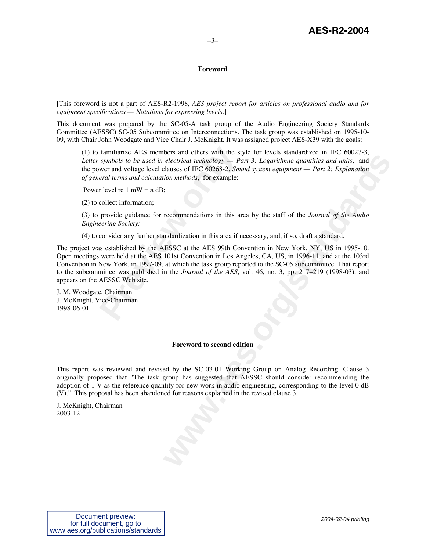#### <span id="page-2-0"></span>**Foreword**

[This foreword is not a part of AES-R2-1998, *AES project report for articles on professional audio and for equipment specifications — Notations for expressing levels*.]

This document was prepared by the SC-05-A task group of the Audio Engineering Society Standards Committee (AESSC) SC-05 Subcommittee on Interconnections. The task group was established on 1995-10- 09, with Chair John Woodgate and Vice Chair J. McKnight. It was assigned project AES-X39 with the goals:

(1) to familiarize AES members and others with the style for levels standardized in IEC 60027-3, *Letter symbols to be used in electrical technology — Part 3: Logarithmic quantities and units*, and the power and voltage level clauses of IEC 60268-2, *Sound system equipment — Part 2: Explanation of general terms and calculation methods*, for example:

Power level re 1 mW =  $n$  dB;

(2) to collect information;

(3) to provide guidance for recommendations in this area by the staff of the *Journal of the Audio Engineering Society;*

(4) to consider any further standardization in this area if necessary, and, if so, draft a standard.

familiarize AES members and others with the st symbols to be used in electrical technology — Pe<br>wer and voltage level clauses of IEC 60268-2, *Soueral terms and calculation methods*, for example:<br>r level re 1 mW = n dB;<br>c ocis and omass wind in so syt to i volos salonation of into the deterrical technology - Part 3: Logarithmic quantities and units, and<br>elastics of IEC 60268-2, Sound system equipment - Part 2: Explanation<br>tion methods, for The project was established by the AESSC at the AES 99th Convention in New York, NY, US in 1995-10. Open meetings were held at the AES 101st Convention in Los Angeles, CA, US, in 1996-11, and at the 103rd Convention in New York, in 1997-09, at which the task group reported to the SC-05 subcommittee. That report to the subcommittee was published in the *Journal of the AES*, vol. 46, no. 3, pp. 217–219 (1998-03), and appears on the AESSC Web site.

J. M. Woodgate, Chairman J. McKnight, Vice-Chairman 1998-06-01

#### <span id="page-2-1"></span>**Foreword to second edition**

This report was reviewed and revised by the SC-03-01 Working Group on Analog Recording. Clause 3 originally proposed that "The task group has suggested that AESSC should consider recommending the adoption of 1 V as the reference quantity for new work in audio engineering, corresponding to the level 0 dB (V)." This proposal has been abandoned for reasons explained in the revised clause 3.

J. McKnight, Chairman 2003-12